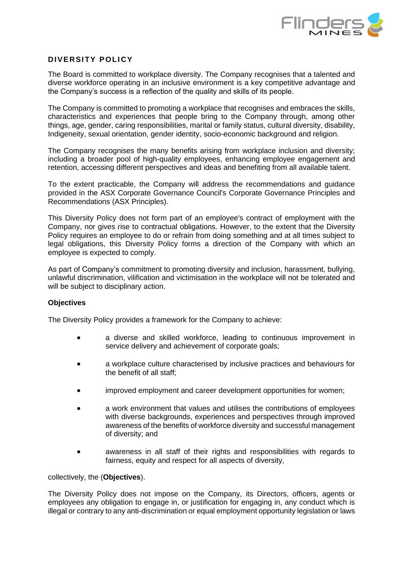

## **DIVERSITY POLICY**

The Board is committed to workplace diversity. The Company recognises that a talented and diverse workforce operating in an inclusive environment is a key competitive advantage and the Company's success is a reflection of the quality and skills of its people.

The Company is committed to promoting a workplace that recognises and embraces the skills, characteristics and experiences that people bring to the Company through, among other things, age, gender, caring responsibilities, marital or family status, cultural diversity, disability, Indigeneity, sexual orientation, gender identity, socio-economic background and religion.

The Company recognises the many benefits arising from workplace inclusion and diversity; including a broader pool of high-quality employees, enhancing employee engagement and retention, accessing different perspectives and ideas and benefiting from all available talent.

To the extent practicable, the Company will address the recommendations and guidance provided in the ASX Corporate Governance Council's Corporate Governance Principles and Recommendations (ASX Principles).

This Diversity Policy does not form part of an employee's contract of employment with the Company, nor gives rise to contractual obligations. However, to the extent that the Diversity Policy requires an employee to do or refrain from doing something and at all times subject to legal obligations, this Diversity Policy forms a direction of the Company with which an employee is expected to comply.

As part of Company's commitment to promoting diversity and inclusion, harassment, bullying, unlawful discrimination, vilification and victimisation in the workplace will not be tolerated and will be subject to disciplinary action.

## **Objectives**

The Diversity Policy provides a framework for the Company to achieve:

- a diverse and skilled workforce, leading to continuous improvement in service delivery and achievement of corporate goals;
- a workplace culture characterised by inclusive practices and behaviours for the benefit of all staff;
- improved employment and career development opportunities for women;
- a work environment that values and utilises the contributions of employees with diverse backgrounds, experiences and perspectives through improved awareness of the benefits of workforce diversity and successful management of diversity; and
- awareness in all staff of their rights and responsibilities with regards to fairness, equity and respect for all aspects of diversity,

## collectively, the (**Objectives**).

The Diversity Policy does not impose on the Company, its Directors, officers, agents or employees any obligation to engage in, or justification for engaging in, any conduct which is illegal or contrary to any anti-discrimination or equal employment opportunity legislation or laws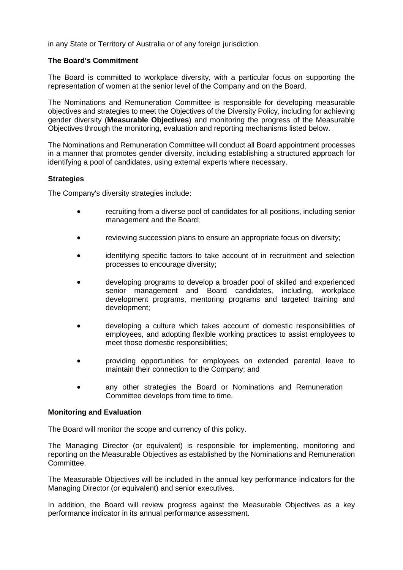in any State or Territory of Australia or of any foreign jurisdiction.

## **The Board's Commitment**

The Board is committed to workplace diversity, with a particular focus on supporting the representation of women at the senior level of the Company and on the Board.

The Nominations and Remuneration Committee is responsible for developing measurable objectives and strategies to meet the Objectives of the Diversity Policy, including for achieving gender diversity (**Measurable Objectives**) and monitoring the progress of the Measurable Objectives through the monitoring, evaluation and reporting mechanisms listed below.

The Nominations and Remuneration Committee will conduct all Board appointment processes in a manner that promotes gender diversity, including establishing a structured approach for identifying a pool of candidates, using external experts where necessary.

## **Strategies**

The Company's diversity strategies include:

- recruiting from a diverse pool of candidates for all positions, including senior management and the Board;
- reviewing succession plans to ensure an appropriate focus on diversity;
- identifying specific factors to take account of in recruitment and selection processes to encourage diversity;
- developing programs to develop a broader pool of skilled and experienced senior management and Board candidates, including, workplace development programs, mentoring programs and targeted training and development;
- developing a culture which takes account of domestic responsibilities of employees, and adopting flexible working practices to assist employees to meet those domestic responsibilities;
- providing opportunities for employees on extended parental leave to maintain their connection to the Company; and
- any other strategies the Board or Nominations and Remuneration Committee develops from time to time.

## **Monitoring and Evaluation**

The Board will monitor the scope and currency of this policy.

The Managing Director (or equivalent) is responsible for implementing, monitoring and reporting on the Measurable Objectives as established by the Nominations and Remuneration Committee.

The Measurable Objectives will be included in the annual key performance indicators for the Managing Director (or equivalent) and senior executives.

In addition, the Board will review progress against the Measurable Objectives as a key performance indicator in its annual performance assessment.